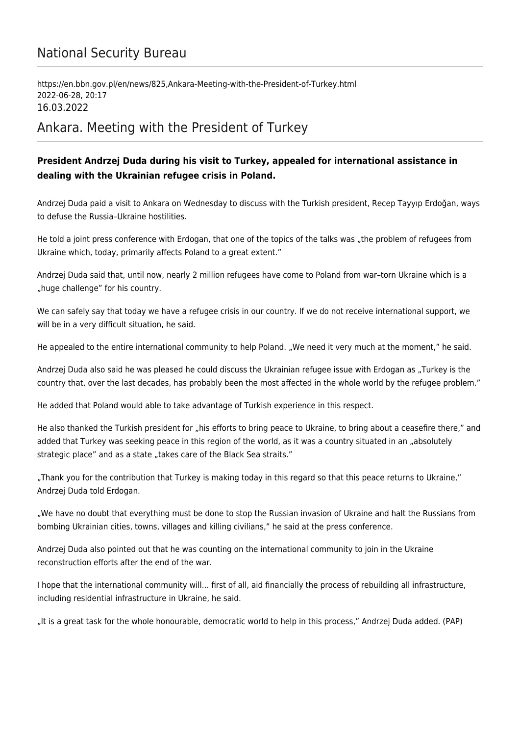## National Security Bureau

https://en.bbn.gov.pl/en/news/825,Ankara-Meeting-with-the-President-of-Turkey.html 2022-06-28, 20:17 16.03.2022

## Ankara. Meeting with the President of Turkey

## **President Andrzej Duda during his visit to Turkey, appealed for international assistance in dealing with the Ukrainian refugee crisis in Poland.**

Andrzej Duda paid a visit to Ankara on Wednesday to discuss with the Turkish president, Recep Tayyıp Erdoğan, ways to defuse the Russia–Ukraine hostilities.

He told a joint press conference with Erdogan, that one of the topics of the talks was "the problem of refugees from Ukraine which, today, primarily affects Poland to a great extent."

Andrzej Duda said that, until now, nearly 2 million refugees have come to Poland from war–torn Ukraine which is a "huge challenge" for his country.

We can safely say that today we have a refugee crisis in our country. If we do not receive international support, we will be in a very difficult situation, he said.

He appealed to the entire international community to help Poland. "We need it very much at the moment," he said.

Andrzej Duda also said he was pleased he could discuss the Ukrainian refugee issue with Erdogan as "Turkey is the country that, over the last decades, has probably been the most affected in the whole world by the refugee problem."

He added that Poland would able to take advantage of Turkish experience in this respect.

He also thanked the Turkish president for "his efforts to bring peace to Ukraine, to bring about a ceasefire there," and added that Turkey was seeking peace in this region of the world, as it was a country situated in an "absolutely strategic place" and as a state "takes care of the Black Sea straits."

"Thank you for the contribution that Turkey is making today in this regard so that this peace returns to Ukraine," Andrzej Duda told Erdogan.

"We have no doubt that everything must be done to stop the Russian invasion of Ukraine and halt the Russians from bombing Ukrainian cities, towns, villages and killing civilians," he said at the press conference.

Andrzej Duda also pointed out that he was counting on the international community to join in the Ukraine reconstruction efforts after the end of the war.

I hope that the international community will... first of all, aid financially the process of rebuilding all infrastructure, including residential infrastructure in Ukraine, he said.

"It is a great task for the whole honourable, democratic world to help in this process," Andrzej Duda added. (PAP)